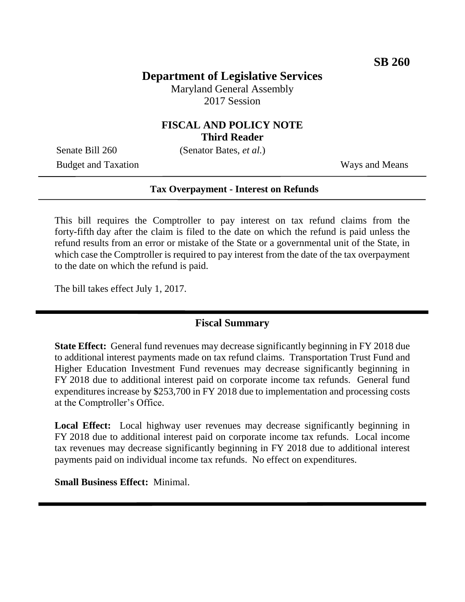# **Department of Legislative Services**

Maryland General Assembly 2017 Session

### **FISCAL AND POLICY NOTE Third Reader**

Senate Bill 260 (Senator Bates, *et al.*)

Budget and Taxation Ways and Means

#### **Tax Overpayment - Interest on Refunds**

This bill requires the Comptroller to pay interest on tax refund claims from the forty-fifth day after the claim is filed to the date on which the refund is paid unless the refund results from an error or mistake of the State or a governmental unit of the State, in which case the Comptroller is required to pay interest from the date of the tax overpayment to the date on which the refund is paid.

The bill takes effect July 1, 2017.

## **Fiscal Summary**

**State Effect:** General fund revenues may decrease significantly beginning in FY 2018 due to additional interest payments made on tax refund claims. Transportation Trust Fund and Higher Education Investment Fund revenues may decrease significantly beginning in FY 2018 due to additional interest paid on corporate income tax refunds. General fund expenditures increase by \$253,700 in FY 2018 due to implementation and processing costs at the Comptroller's Office.

**Local Effect:** Local highway user revenues may decrease significantly beginning in FY 2018 due to additional interest paid on corporate income tax refunds. Local income tax revenues may decrease significantly beginning in FY 2018 due to additional interest payments paid on individual income tax refunds. No effect on expenditures.

**Small Business Effect:** Minimal.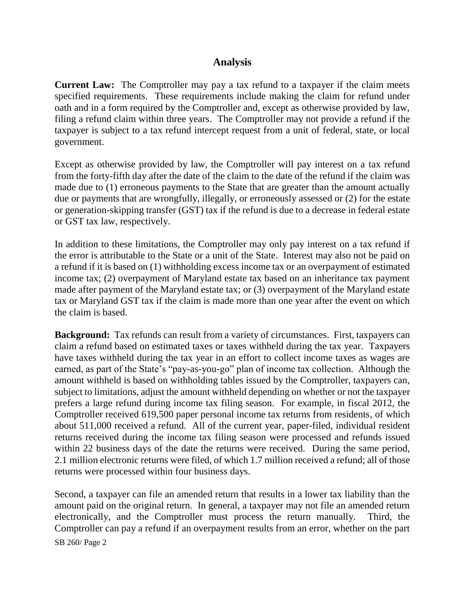## **Analysis**

**Current Law:** The Comptroller may pay a tax refund to a taxpayer if the claim meets specified requirements. These requirements include making the claim for refund under oath and in a form required by the Comptroller and, except as otherwise provided by law, filing a refund claim within three years. The Comptroller may not provide a refund if the taxpayer is subject to a tax refund intercept request from a unit of federal, state, or local government.

Except as otherwise provided by law, the Comptroller will pay interest on a tax refund from the forty-fifth day after the date of the claim to the date of the refund if the claim was made due to (1) erroneous payments to the State that are greater than the amount actually due or payments that are wrongfully, illegally, or erroneously assessed or (2) for the estate or generation-skipping transfer (GST) tax if the refund is due to a decrease in federal estate or GST tax law, respectively.

In addition to these limitations, the Comptroller may only pay interest on a tax refund if the error is attributable to the State or a unit of the State. Interest may also not be paid on a refund if it is based on (1) withholding excess income tax or an overpayment of estimated income tax; (2) overpayment of Maryland estate tax based on an inheritance tax payment made after payment of the Maryland estate tax; or (3) overpayment of the Maryland estate tax or Maryland GST tax if the claim is made more than one year after the event on which the claim is based.

**Background:** Tax refunds can result from a variety of circumstances. First, taxpayers can claim a refund based on estimated taxes or taxes withheld during the tax year. Taxpayers have taxes withheld during the tax year in an effort to collect income taxes as wages are earned, as part of the State's "pay-as-you-go" plan of income tax collection. Although the amount withheld is based on withholding tables issued by the Comptroller, taxpayers can, subject to limitations, adjust the amount withheld depending on whether or not the taxpayer prefers a large refund during income tax filing season. For example, in fiscal 2012, the Comptroller received 619,500 paper personal income tax returns from residents, of which about 511,000 received a refund. All of the current year, paper-filed, individual resident returns received during the income tax filing season were processed and refunds issued within 22 business days of the date the returns were received. During the same period, 2.1 million electronic returns were filed, of which 1.7 million received a refund; all of those returns were processed within four business days.

Second, a taxpayer can file an amended return that results in a lower tax liability than the amount paid on the original return. In general, a taxpayer may not file an amended return electronically, and the Comptroller must process the return manually. Third, the Comptroller can pay a refund if an overpayment results from an error, whether on the part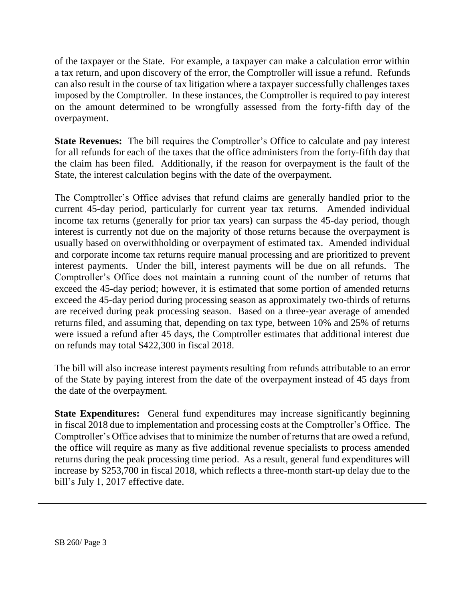of the taxpayer or the State. For example, a taxpayer can make a calculation error within a tax return, and upon discovery of the error, the Comptroller will issue a refund. Refunds can also result in the course of tax litigation where a taxpayer successfully challenges taxes imposed by the Comptroller. In these instances, the Comptroller is required to pay interest on the amount determined to be wrongfully assessed from the forty-fifth day of the overpayment.

**State Revenues:** The bill requires the Comptroller's Office to calculate and pay interest for all refunds for each of the taxes that the office administers from the forty-fifth day that the claim has been filed. Additionally, if the reason for overpayment is the fault of the State, the interest calculation begins with the date of the overpayment.

The Comptroller's Office advises that refund claims are generally handled prior to the current 45-day period, particularly for current year tax returns. Amended individual income tax returns (generally for prior tax years) can surpass the 45-day period, though interest is currently not due on the majority of those returns because the overpayment is usually based on overwithholding or overpayment of estimated tax. Amended individual and corporate income tax returns require manual processing and are prioritized to prevent interest payments. Under the bill, interest payments will be due on all refunds. The Comptroller's Office does not maintain a running count of the number of returns that exceed the 45-day period; however, it is estimated that some portion of amended returns exceed the 45-day period during processing season as approximately two-thirds of returns are received during peak processing season. Based on a three-year average of amended returns filed, and assuming that, depending on tax type, between 10% and 25% of returns were issued a refund after 45 days, the Comptroller estimates that additional interest due on refunds may total \$422,300 in fiscal 2018.

The bill will also increase interest payments resulting from refunds attributable to an error of the State by paying interest from the date of the overpayment instead of 45 days from the date of the overpayment.

**State Expenditures:** General fund expenditures may increase significantly beginning in fiscal 2018 due to implementation and processing costs at the Comptroller's Office. The Comptroller's Office advises that to minimize the number of returns that are owed a refund, the office will require as many as five additional revenue specialists to process amended returns during the peak processing time period. As a result, general fund expenditures will increase by \$253,700 in fiscal 2018, which reflects a three-month start-up delay due to the bill's July 1, 2017 effective date.